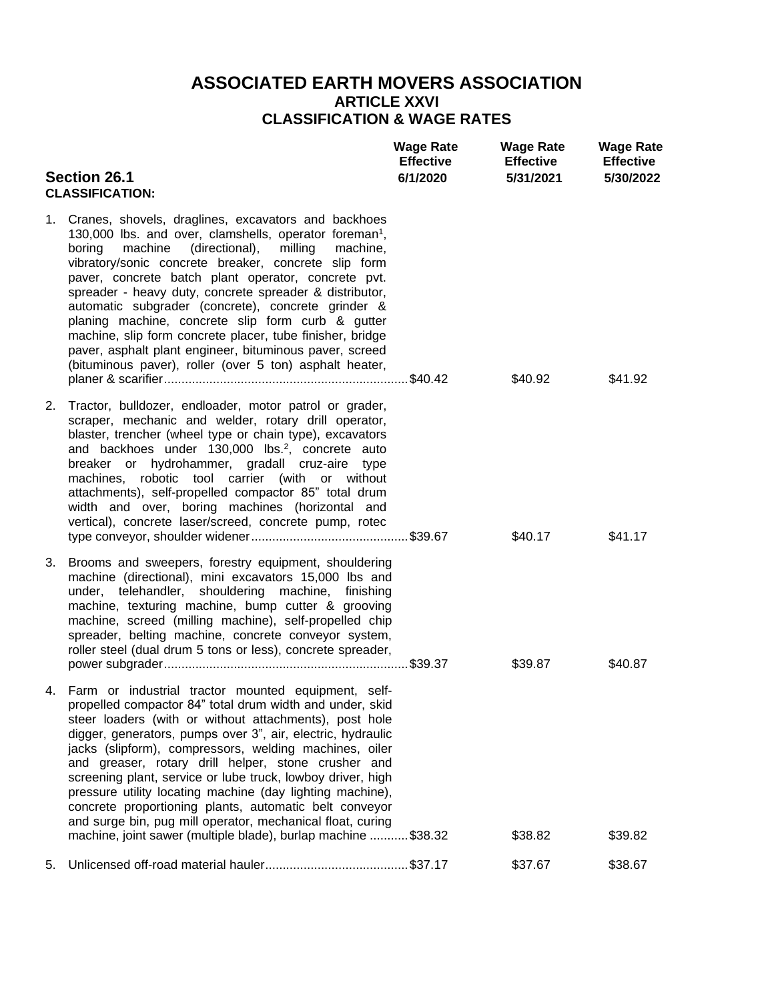## **ASSOCIATED EARTH MOVERS ASSOCIATION ARTICLE XXVI CLASSIFICATION & WAGE RATES**

| <b>Section 26.1</b><br><b>CLASSIFICATION:</b> |                                                                                                                                                                                                                                                                                                                                                                                                                                                                                                                                                                                                                                                                                   | <b>Wage Rate</b><br><b>Effective</b><br>6/1/2020 | <b>Wage Rate</b><br><b>Effective</b><br>5/31/2021 | <b>Wage Rate</b><br><b>Effective</b><br>5/30/2022 |
|-----------------------------------------------|-----------------------------------------------------------------------------------------------------------------------------------------------------------------------------------------------------------------------------------------------------------------------------------------------------------------------------------------------------------------------------------------------------------------------------------------------------------------------------------------------------------------------------------------------------------------------------------------------------------------------------------------------------------------------------------|--------------------------------------------------|---------------------------------------------------|---------------------------------------------------|
|                                               | 1. Cranes, shovels, draglines, excavators and backhoes<br>130,000 lbs. and over, clamshells, operator foreman <sup>1</sup> ,<br>milling<br>boring<br>machine<br>(directional),<br>machine,<br>vibratory/sonic concrete breaker, concrete slip form<br>paver, concrete batch plant operator, concrete pvt.<br>spreader - heavy duty, concrete spreader & distributor,<br>automatic subgrader (concrete), concrete grinder &<br>planing machine, concrete slip form curb & gutter<br>machine, slip form concrete placer, tube finisher, bridge<br>paver, asphalt plant engineer, bituminous paver, screed<br>(bituminous paver), roller (over 5 ton) asphalt heater,                |                                                  | \$40.92                                           | \$41.92                                           |
| 2.                                            | Tractor, bulldozer, endloader, motor patrol or grader,<br>scraper, mechanic and welder, rotary drill operator,<br>blaster, trencher (wheel type or chain type), excavators<br>and backhoes under 130,000 lbs. <sup>2</sup> , concrete auto<br>breaker or hydrohammer, gradall cruz-aire type<br>machines, robotic tool carrier (with or without<br>attachments), self-propelled compactor 85" total drum<br>width and over, boring machines (horizontal and<br>vertical), concrete laser/screed, concrete pump, rotec                                                                                                                                                             |                                                  | \$40.17                                           | \$41.17                                           |
| 3.                                            | Brooms and sweepers, forestry equipment, shouldering<br>machine (directional), mini excavators 15,000 lbs and<br>under, telehandler, shouldering machine, finishing<br>machine, texturing machine, bump cutter & grooving<br>machine, screed (milling machine), self-propelled chip<br>spreader, belting machine, concrete conveyor system,<br>roller steel (dual drum 5 tons or less), concrete spreader,                                                                                                                                                                                                                                                                        |                                                  | \$39.87                                           | \$40.87                                           |
|                                               | 4. Farm or industrial tractor mounted equipment, self-<br>propelled compactor 84" total drum width and under, skid<br>steer loaders (with or without attachments), post hole<br>digger, generators, pumps over 3", air, electric, hydraulic<br>jacks (slipform), compressors, welding machines, oiler<br>and greaser, rotary drill helper, stone crusher and<br>screening plant, service or lube truck, lowboy driver, high<br>pressure utility locating machine (day lighting machine),<br>concrete proportioning plants, automatic belt conveyor<br>and surge bin, pug mill operator, mechanical float, curing<br>machine, joint sawer (multiple blade), burlap machine \$38.32 |                                                  | \$38.82                                           | \$39.82                                           |
| 5.                                            |                                                                                                                                                                                                                                                                                                                                                                                                                                                                                                                                                                                                                                                                                   |                                                  | \$37.67                                           | \$38.67                                           |